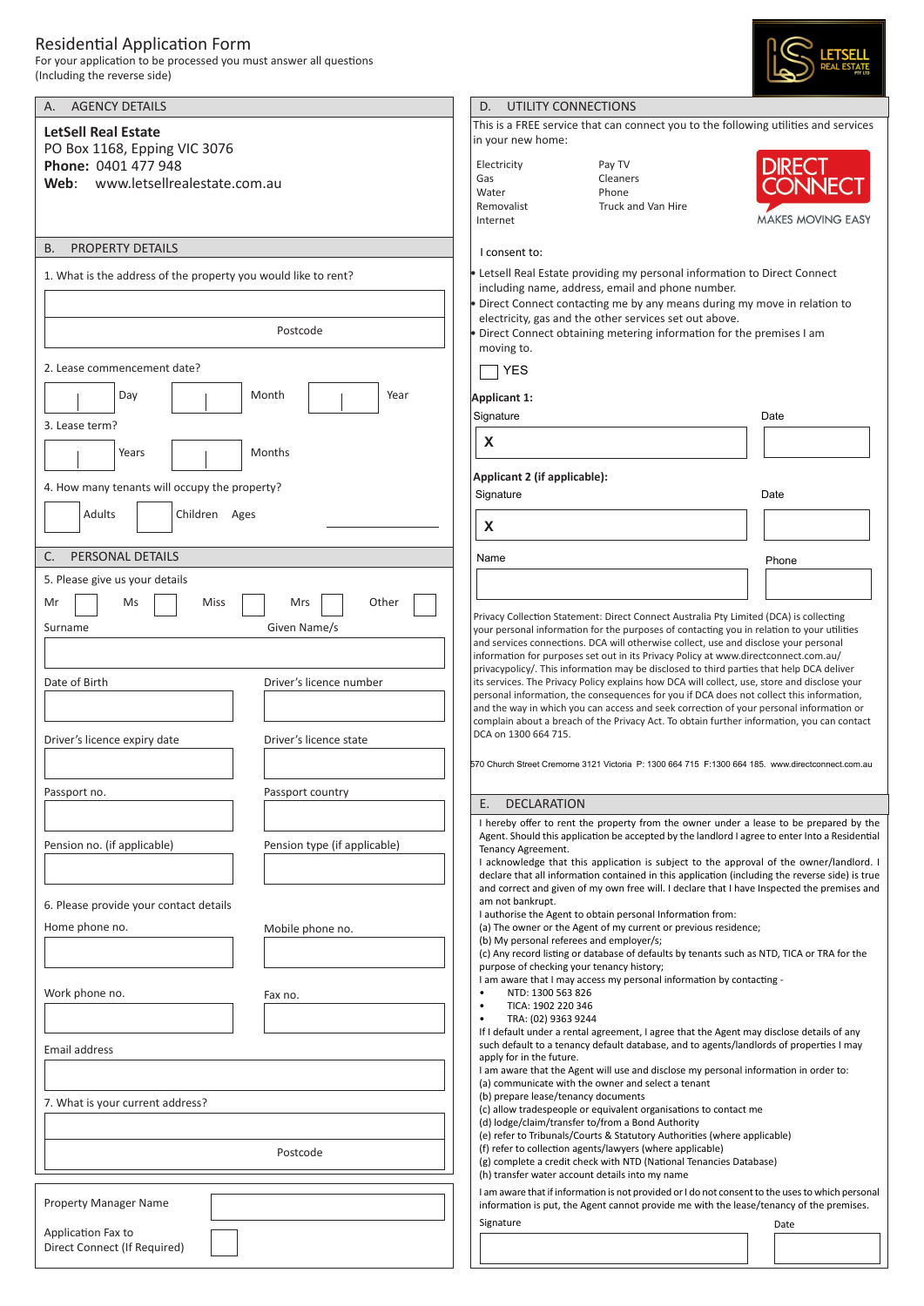## Residential Application Form

For your application to be processed you must answer all questions (Including the reverse side)